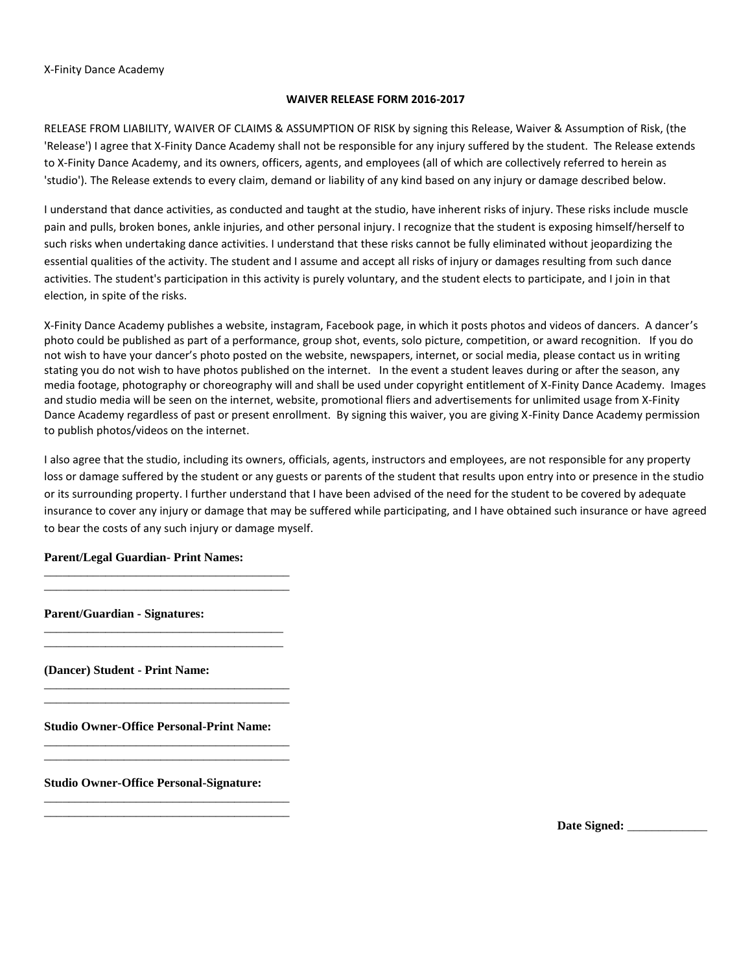## X-Finity Dance Academy

## **WAIVER RELEASE FORM 2016-2017**

RELEASE FROM LIABILITY, WAIVER OF CLAIMS & ASSUMPTION OF RISK by signing this Release, Waiver & Assumption of Risk, (the 'Release') I agree that X-Finity Dance Academy shall not be responsible for any injury suffered by the student. The Release extends to X-Finity Dance Academy, and its owners, officers, agents, and employees (all of which are collectively referred to herein as 'studio'). The Release extends to every claim, demand or liability of any kind based on any injury or damage described below.

I understand that dance activities, as conducted and taught at the studio, have inherent risks of injury. These risks include muscle pain and pulls, broken bones, ankle injuries, and other personal injury. I recognize that the student is exposing himself/herself to such risks when undertaking dance activities. I understand that these risks cannot be fully eliminated without jeopardizing the essential qualities of the activity. The student and I assume and accept all risks of injury or damages resulting from such dance activities. The student's participation in this activity is purely voluntary, and the student elects to participate, and I join in that election, in spite of the risks.

X-Finity Dance Academy publishes a website, instagram, Facebook page, in which it posts photos and videos of dancers. A dancer's photo could be published as part of a performance, group shot, events, solo picture, competition, or award recognition. If you do not wish to have your dancer's photo posted on the website, newspapers, internet, or social media, please contact us in writing stating you do not wish to have photos published on the internet. In the event a student leaves during or after the season, any media footage, photography or choreography will and shall be used under copyright entitlement of X-Finity Dance Academy. Images and studio media will be seen on the internet, website, promotional fliers and advertisements for unlimited usage from X-Finity Dance Academy regardless of past or present enrollment. By signing this waiver, you are giving X-Finity Dance Academy permission to publish photos/videos on the internet.

I also agree that the studio, including its owners, officials, agents, instructors and employees, are not responsible for any property loss or damage suffered by the student or any guests or parents of the student that results upon entry into or presence in the studio or its surrounding property. I further understand that I have been advised of the need for the student to be covered by adequate insurance to cover any injury or damage that may be suffered while participating, and I have obtained such insurance or have agreed to bear the costs of any such injury or damage myself.

## **Parent/Legal Guardian- Print Names:**

\_\_\_\_\_\_\_\_\_\_\_\_\_\_\_\_\_\_\_\_\_\_\_\_\_\_\_\_\_\_\_\_\_\_\_\_\_\_\_\_ \_\_\_\_\_\_\_\_\_\_\_\_\_\_\_\_\_\_\_\_\_\_\_\_\_\_\_\_\_\_\_\_\_\_\_\_\_\_\_\_

\_\_\_\_\_\_\_\_\_\_\_\_\_\_\_\_\_\_\_\_\_\_\_\_\_\_\_\_\_\_\_\_\_\_\_\_\_\_\_ \_\_\_\_\_\_\_\_\_\_\_\_\_\_\_\_\_\_\_\_\_\_\_\_\_\_\_\_\_\_\_\_\_\_\_\_\_\_\_

\_\_\_\_\_\_\_\_\_\_\_\_\_\_\_\_\_\_\_\_\_\_\_\_\_\_\_\_\_\_\_\_\_\_\_\_\_\_\_\_ \_\_\_\_\_\_\_\_\_\_\_\_\_\_\_\_\_\_\_\_\_\_\_\_\_\_\_\_\_\_\_\_\_\_\_\_\_\_\_\_

\_\_\_\_\_\_\_\_\_\_\_\_\_\_\_\_\_\_\_\_\_\_\_\_\_\_\_\_\_\_\_\_\_\_\_\_\_\_\_\_ \_\_\_\_\_\_\_\_\_\_\_\_\_\_\_\_\_\_\_\_\_\_\_\_\_\_\_\_\_\_\_\_\_\_\_\_\_\_\_\_

\_\_\_\_\_\_\_\_\_\_\_\_\_\_\_\_\_\_\_\_\_\_\_\_\_\_\_\_\_\_\_\_\_\_\_\_\_\_\_\_ \_\_\_\_\_\_\_\_\_\_\_\_\_\_\_\_\_\_\_\_\_\_\_\_\_\_\_\_\_\_\_\_\_\_\_\_\_\_\_\_

**Parent/Guardian - Signatures:** 

**(Dancer) Student - Print Name:** 

**Studio Owner-Office Personal-Print Name:** 

**Studio Owner-Office Personal-Signature:** 

Date Signed: